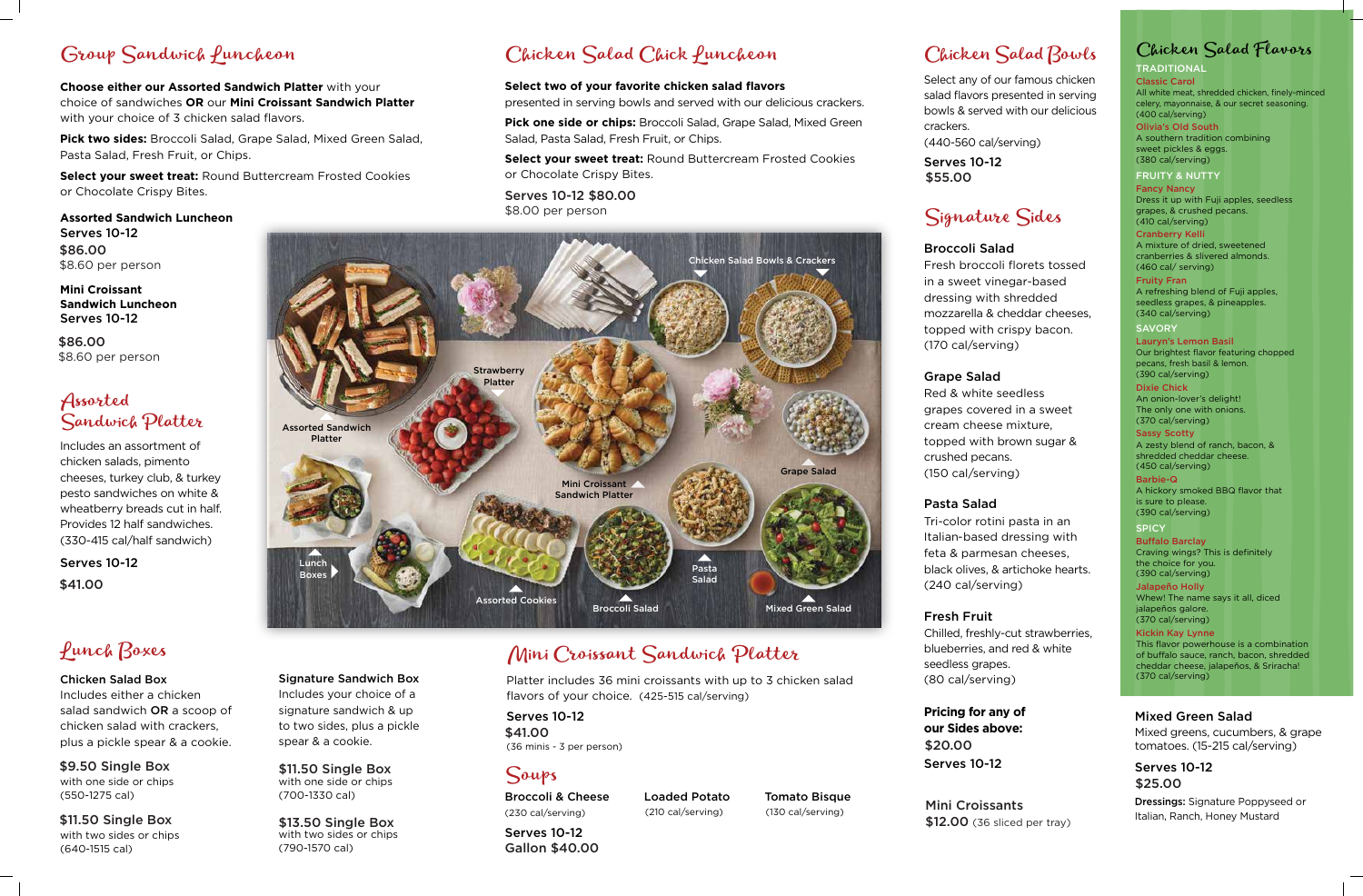Assorted Sandwich Platter

Lunch

Mini Croissant Sandwich Platter

**Strawberry** Platter

Assorted Cookies

Boxes Pasta

Salad

Grape Salad

Chicken Salad Bowls & Crackers

## Group Sandwich Puncheon

**Choose either our Assorted Sandwich Platter** with your choice of sandwiches **OR** our **Mini Croissant Sandwich Platter**  with your choice of 3 chicken salad flavors.

**Pick two sides:** Broccoli Salad, Grape Salad, Mixed Green Salad, Pasta Salad, Fresh Fruit, or Chips.

**Select your sweet treat:** Round Buttercream Frosted Cookies or Chocolate Crispy Bites.

## Assorted Sandwich Platter

Platter includes 36 mini croissants with up to 3 chicken salad flavors of your choice. (425-515 cal/serving)

## Soups

Loaded Potato Tomato Bisque (210 cal/serving) (130 cal/serving)

Broccoli Salad Mixed Green Salad

Broccoli & Cheese (230 cal/serving)

### Signature Sandwich Box Includes your choice of a signature sandwich & up to two sides, plus a pickle spear & a cookie.

**Mini Croissant Sandwich Luncheon** Serves 10-12

Includes an assortment of chicken salads, pimento cheeses, turkey club, & turkey pesto sandwiches on white & wheatberry breads cut in half. Provides 12 half sandwiches. (330-415 cal/half sandwich)

**TRADITIONAL** Classic Carol All white meat, shredded chicken, finely-minced celery, mayonnaise, & our secret seasoning. (400 cal/serving)

## Lunch Boxes

#### Chicken Salad Box

Includes either a chicken salad sandwich OR a scoop of chicken salad with crackers, plus a pickle spear & a cookie.

**SAVORY** Lauryn's Lemon Basil Our brightest flavor featuring chopped pecans, fresh basil & lemon. (390 cal/serving)

## Chicken Salad Bowls

Select any of our famous chicken salad flavors presented in serving bowls & served with our delicious

> **SPICY Buffalo Barclay** Craving wings? This is definitely the choice for you. (390 cal/serving)

crackers.

(440-560 cal/serving)

Signature Sides

Broccoli Salad Fresh broccoli florets tossed in a sweet vinegar-based dressing with shredded mozzarella & cheddar cheeses, topped with crispy bacon. (170 cal/serving)

## Grape Salad Red & white seedless

grapes covered in a sweet cream cheese mixture, topped with brown sugar &

crushed pecans. (150 cal/serving)

### Pasta Salad

Mini Croissants \$12.00 (36 sliced per tray)

Tri-color rotini pasta in an Italian-based dressing with feta & parmesan cheeses, black olives, & artichoke hearts. (240 cal/serving)

# Fresh Fruit

Chilled, freshly-cut strawberries, blueberries, and red & white seedless grapes. (80 cal/serving)

## Chicken Salad Flavors

Serves 10-12 (36 minis - 3 per person) \$41.00

Serves 10-12 Gallon \$40.00

with one side or chips (700-1330 cal) \$11.50 Single Box

Olivia's Old South A southern tradition combining sweet pickles & eggs. (380 cal/serving)

#### **Assorted Sandwich Luncheon** Serves 10-12 \$86.00 \$8.60 per person

with two sides or chips (790-1570 cal) \$13.50 Single Box

## Mini Croissant Sandwich Platter

FRUITY & NUTTY

Fancy Nancy Dress it up with Fuji apples, seedless grapes, & crushed pecans. (410 cal/serving)

Serves 10-12 \$41.00

Cranberry Kelli A mixture of dried, sweetened cranberries & slivered almonds. (460 cal/ serving)

with one side or chips (550-1275 cal) \$9.50 Single Box

with two sides or chips (640-1515 cal) \$11.50 Single Box

Fruity Fran A refreshing blend of Fuji apples, seedless grapes, & pineapples. (340 cal/serving)

Serves 10-12 \$55.00

Dixie Chick An onion-lover's delight! The only one with onions. (370 cal/serving)

Sassy Scotty A zesty blend of ranch, bacon, & shredded cheddar cheese. (450 cal/serving)

Barbie-Q A hickory smoked BBQ flavor that is sure to please. (390 cal/serving)

**Pricing for any of our Sides above:** Serves 10-12 \$20.00

Jalapeño Holly Whew! The name says it all, diced jalapeños galore. (370 cal/serving)

Kickin Kay Lynne This flavor powerhouse is a combination of buffalo sauce, ranch, bacon, shredded cheddar cheese, jalapeños, & Sriracha! (370 cal/serving)

#### Mixed Green Salad

Mixed greens, cucumbers, & grape tomatoes. (15-215 cal/serving)

Dressings: Signature Poppyseed or Italian, Ranch, Honey Mustard

## Chicken Salad Chick Luncheon

#### **Select two of your favorite chicken salad flavors**

presented in serving bowls and served with our delicious crackers.

**Pick one side or chips:** Broccoli Salad, Grape Salad, Mixed Green Salad, Pasta Salad, Fresh Fruit, or Chips.

> Serves 10-12 \$25.00

**Select your sweet treat:** Round Buttercream Frosted Cookies or Chocolate Crispy Bites.

Serves 10-12 \$80.00 \$8.00 per person

\$86.00 \$8.60 per person